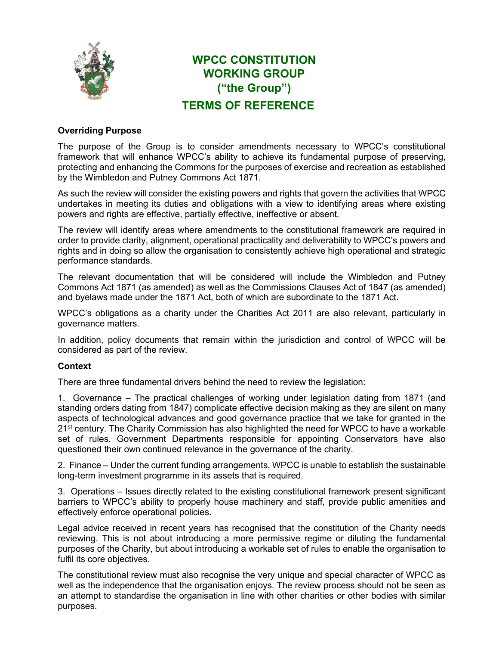

# **WPCC CONSTITUTION WORKING GROUP ("the Group") TERMS OF REFERENCE**

# **Overriding Purpose**

The purpose of the Group is to consider amendments necessary to WPCC's constitutional framework that will enhance WPCC's ability to achieve its fundamental purpose of preserving, protecting and enhancing the Commons for the purposes of exercise and recreation as established by the Wimbledon and Putney Commons Act 1871.

As such the review will consider the existing powers and rights that govern the activities that WPCC undertakes in meeting its duties and obligations with a view to identifying areas where existing powers and rights are effective, partially effective, ineffective or absent.

The review will identify areas where amendments to the constitutional framework are required in order to provide clarity, alignment, operational practicality and deliverability to WPCC's powers and rights and in doing so allow the organisation to consistently achieve high operational and strategic performance standards.

The relevant documentation that will be considered will include the Wimbledon and Putney Commons Act 1871 (as amended) as well as the Commissions Clauses Act of 1847 (as amended) and byelaws made under the 1871 Act, both of which are subordinate to the 1871 Act.

WPCC's obligations as a charity under the Charities Act 2011 are also relevant, particularly in governance matters.

In addition, policy documents that remain within the jurisdiction and control of WPCC will be considered as part of the review.

# **Context**

There are three fundamental drivers behind the need to review the legislation:

1. Governance – The practical challenges of working under legislation dating from 1871 (and standing orders dating from 1847) complicate effective decision making as they are silent on many aspects of technological advances and good governance practice that we take for granted in the  $21<sup>st</sup>$  century. The Charity Commission has also highlighted the need for WPCC to have a workable set of rules. Government Departments responsible for appointing Conservators have also questioned their own continued relevance in the governance of the charity.

2. Finance – Under the current funding arrangements, WPCC is unable to establish the sustainable long-term investment programme in its assets that is required.

3. Operations – Issues directly related to the existing constitutional framework present significant barriers to WPCC's ability to properly house machinery and staff, provide public amenities and effectively enforce operational policies.

Legal advice received in recent years has recognised that the constitution of the Charity needs reviewing. This is not about introducing a more permissive regime or diluting the fundamental purposes of the Charity, but about introducing a workable set of rules to enable the organisation to fulfil its core objectives.

The constitutional review must also recognise the very unique and special character of WPCC as well as the independence that the organisation enjoys. The review process should not be seen as an attempt to standardise the organisation in line with other charities or other bodies with similar purposes.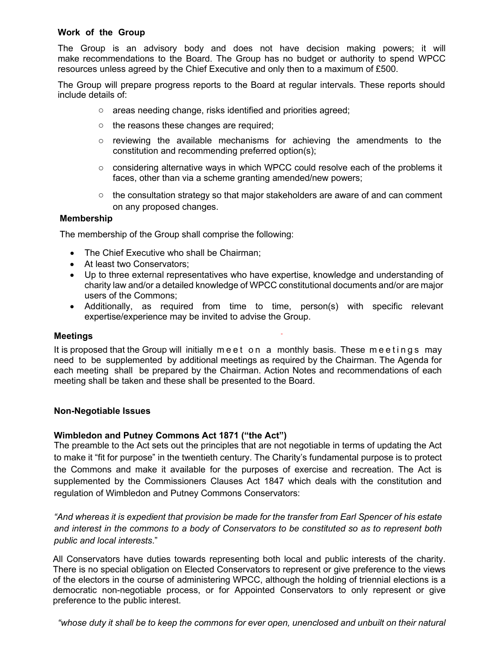# **Work of the Group**

The Group is an advisory body and does not have decision making powers; it will make recommendations to the Board. The Group has no budget or authority to spend WPCC resources unless agreed by the Chief Executive and only then to a maximum of £500.

The Group will prepare progress reports to the Board at regular intervals. These reports should include details of:

- o areas needing change, risks identified and priorities agreed;
- o the reasons these changes are required;
- $\circ$  reviewing the available mechanisms for achieving the amendments to the constitution and recommending preferred option(s);
- $\circ$  considering alternative ways in which WPCC could resolve each of the problems it faces, other than via a scheme granting amended/new powers;
- $\circ$  the consultation strategy so that major stakeholders are aware of and can comment on any proposed changes.

## **Membership**

The membership of the Group shall comprise the following:

- The Chief Executive who shall be Chairman;
- At least two Conservators;
- Up to three external representatives who have expertise, knowledge and understanding of charity law and/or a detailed knowledge of WPCC constitutional documents and/or are major users of the Commons;
- Additionally, as required from time to time, person(s) with specific relevant expertise/experience may be invited to advise the Group.

## **Meetings**

It is proposed that the Group will initially meet on a monthly basis. These meetings may need to be supplemented by additional meetings as required by the Chairman. The Agenda for each meeting shall be prepared by the Chairman. Action Notes and recommendations of each meeting shall be taken and these shall be presented to the Board.

## **Non-Negotiable Issues**

## **Wimbledon and Putney Commons Act 1871 ("the Act")**

The preamble to the Act sets out the principles that are not negotiable in terms of updating the Act to make it "fit for purpose" in the twentieth century. The Charity's fundamental purpose is to protect the Commons and make it available for the purposes of exercise and recreation. The Act is supplemented by the Commissioners Clauses Act 1847 which deals with the constitution and regulation of Wimbledon and Putney Commons Conservators:

*"And whereas it is expedient that provision be made for the transfer from Earl Spencer of his estate and interest in the commons to a body of Conservators to be constituted so as to represent both public and local interests*."

All Conservators have duties towards representing both local and public interests of the charity. There is no special obligation on Elected Conservators to represent or give preference to the views of the electors in the course of administering WPCC, although the holding of triennial elections is a democratic non-negotiable process, or for Appointed Conservators to only represent or give preference to the public interest.

*"whose duty it shall be to keep the commons for ever open, unenclosed and unbuilt on their natural*